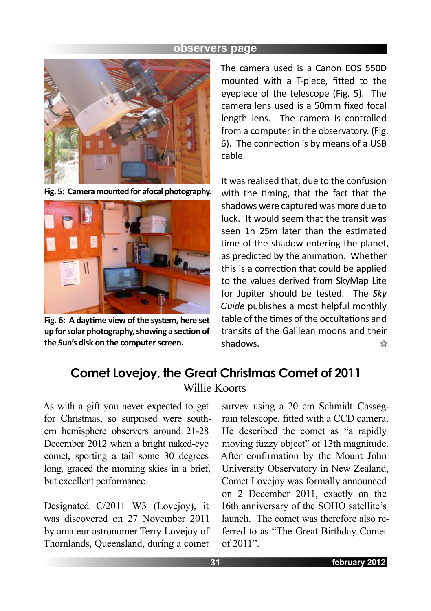

**Fig. 5: Camera mounted for afocal photography.**



Fig. 6: A daytime view of the system, here set **up for solar photography, showing a sec�on of the Sun's disk on the computer screen.**

The camera used is a Canon EOS 550D mounted with a T-piece, fitted to the eyepiece of the telescope (Fig. 5). The camera lens used is a 50mm fixed focal length lens. The camera is controlled from a computer in the observatory. (Fig. 6). The connection is by means of a USB cable.

It was realised that, due to the confusion with the timing, that the fact that the shadows were captured was more due to luck. It would seem that the transit was seen 1h 25m later than the estimated time of the shadow entering the planet, as predicted by the animation. Whether this is a correction that could be applied to the values derived from SkyMap Lite for Jupiter should be tested. The *Sky Guide* publishes a most helpful monthly table of the times of the occultations and transits of the Galilean moons and their shadows.  $\prec$ 

# **Comet Lovejoy, the Great Christmas Comet of 2011** Willie Koorts

As with a gift you never expected to get for Christmas, so surprised were southern hemisphere observers around 21-28 December 2012 when a bright naked-eye comet, sporting a tail some 30 degrees long, graced the morning skies in a brief, but excellent performance.

Designated C/2011 W3 (Lovejoy), it was discovered on 27 November 2011 by amateur astronomer Terry Lovejoy of Thornlands, Queensland, during a comet

survey using a 20 cm Schmidt–Cassegrain telescope, fitted with a CCD camera. He described the comet as "a rapidly moving fuzzy object" of 13th magnitude. After confirmation by the Mount John University Observatory in New Zealand, Comet Lovejoy was formally announced on 2 December 2011, exactly on the 16th anniversary of the SOHO satellite's launch. The comet was therefore also referred to as "The Great Birthday Comet of 2011".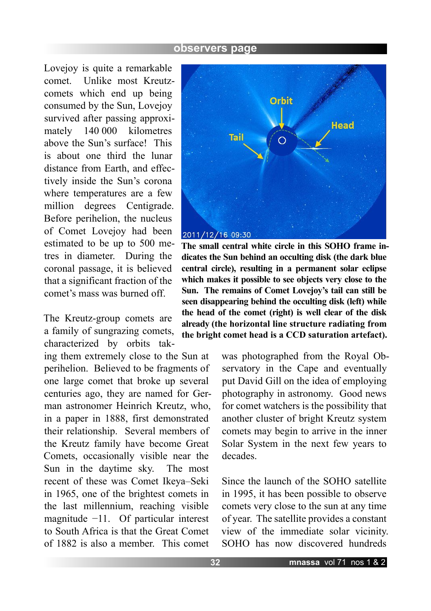Lovejoy is quite a remarkable comet. Unlike most Kreutzcomets which end up being consumed by the Sun, Lovejoy survived after passing approximately 140 000 kilometres above the Sun's surface! This is about one third the lunar distance from Earth, and effectively inside the Sun's corona where temperatures are a few million degrees Centigrade. Before perihelion, the nucleus of Comet Lovejoy had been estimated to be up to 500 metres in diameter. During the coronal passage, it is believed that a significant fraction of the comet's mass was burned off.

The Kreutz-group comets are a family of sungrazing comets, characterized by orbits tak-

ing them extremely close to the Sun at perihelion. Believed to be fragments of one large comet that broke up several centuries ago, they are named for German astronomer Heinrich Kreutz, who, in a paper in 1888, first demonstrated their relationship. Several members of the Kreutz family have become Great Comets, occasionally visible near the Sun in the daytime sky. The most recent of these was Comet Ikeya–Seki in 1965, one of the brightest comets in the last millennium, reaching visible magnitude −11. Of particular interest to South Africa is that the Great Comet of 1882 is also a member. This comet



**The small central white circle in this SOHO frame indicates the Sun behind an occulting disk (the dark blue central circle), resulting in a permanent solar eclipse which makes it possible to see objects very close to the Sun. The remains of Comet Lovejoy's tail can still be seen disappearing behind the occulting disk (left) while the head of the comet (right) is well clear of the disk already (the horizontal line structure radiating from the bright comet head is a CCD saturation artefact).**

was photographed from the Royal Observatory in the Cape and eventually put David Gill on the idea of employing photography in astronomy. Good news for comet watchers is the possibility that another cluster of bright Kreutz system comets may begin to arrive in the inner Solar System in the next few years to decades.

Since the launch of the SOHO satellite in 1995, it has been possible to observe comets very close to the sun at any time of year. The satellite provides a constant view of the immediate solar vicinity. SOHO has now discovered hundreds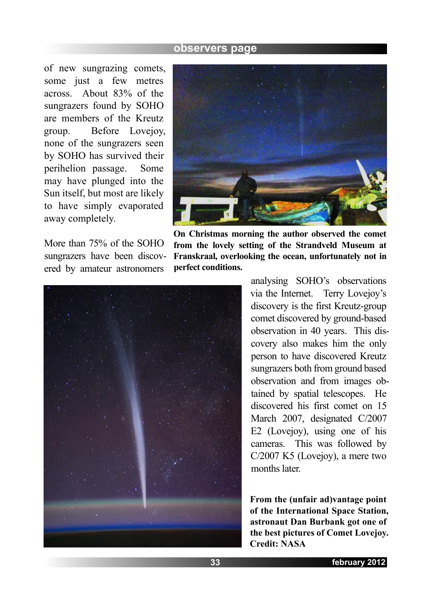of new sungrazing comets, some just a few metres across. About 83% of the sungrazers found by SOHO are members of the Kreutz group. Before Lovejoy, none of the sungrazers seen by SOHO has survived their perihelion passage. Some may have plunged into the Sun itself, but most are likely to have simply evaporated away completely.

More than 75% of the SOHO sungrazers have been discovered by amateur astronomers



**On Christmas morning the author observed the comet from the lovely setting of the Strandveld Museum at Franskraal, overlooking the ocean, unfortunately not in perfect conditions.**



analysing SOHO's observations via the Internet. Terry Lovejoy's discovery is the first Kreutz-group comet discovered by ground-based observation in 40 years. This discovery also makes him the only person to have discovered Kreutz sungrazers both from ground based observation and from images obtained by spatial telescopes. He discovered his first comet on 15 March 2007, designated C/2007 E2 (Lovejoy), using one of his cameras. This was followed by C/2007 K5 (Lovejoy), a mere two months later.

**From the (unfair ad)vantage point of the International Space Station, astronaut Dan Burbank got one of the best pictures of Comet Lovejoy. Credit: NASA**